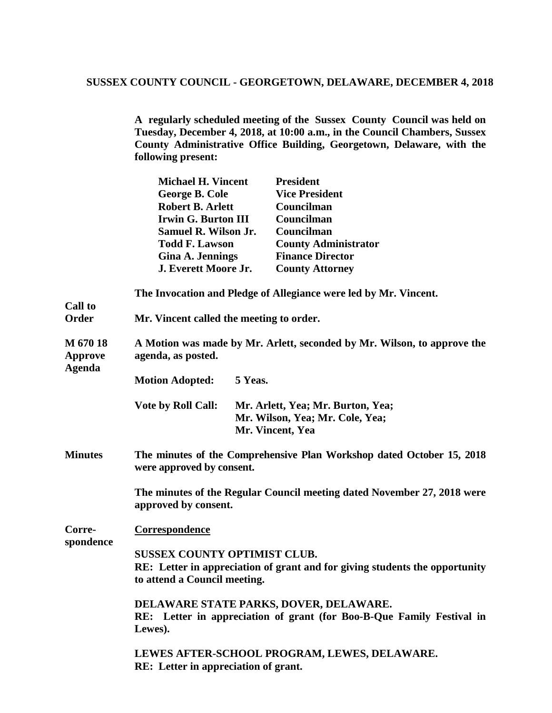**A regularly scheduled meeting of the Sussex County Council was held on Tuesday, December 4, 2018, at 10:00 a.m., in the Council Chambers, Sussex County Administrative Office Building, Georgetown, Delaware, with the following present:** 

|                                      | <b>Michael H. Vincent</b>                                                                                                                          | <b>President</b>                                                 |  |
|--------------------------------------|----------------------------------------------------------------------------------------------------------------------------------------------------|------------------------------------------------------------------|--|
|                                      | George B. Cole                                                                                                                                     | <b>Vice President</b>                                            |  |
|                                      | <b>Robert B. Arlett</b>                                                                                                                            | Councilman                                                       |  |
|                                      | <b>Irwin G. Burton III</b>                                                                                                                         | Councilman                                                       |  |
|                                      | <b>Samuel R. Wilson Jr.</b>                                                                                                                        | Councilman                                                       |  |
|                                      | <b>Todd F. Lawson</b>                                                                                                                              | <b>County Administrator</b>                                      |  |
|                                      | <b>Gina A. Jennings</b>                                                                                                                            | <b>Finance Director</b>                                          |  |
|                                      | J. Everett Moore Jr.                                                                                                                               | <b>County Attorney</b>                                           |  |
| <b>Call to</b>                       |                                                                                                                                                    | The Invocation and Pledge of Allegiance were led by Mr. Vincent. |  |
| Order                                | Mr. Vincent called the meeting to order.                                                                                                           |                                                                  |  |
| M 670 18<br>Approve<br><b>Agenda</b> | A Motion was made by Mr. Arlett, seconded by Mr. Wilson, to approve the<br>agenda, as posted.                                                      |                                                                  |  |
|                                      | <b>Motion Adopted:</b><br>5 Yeas.                                                                                                                  |                                                                  |  |
|                                      | <b>Vote by Roll Call:</b><br>Mr. Arlett, Yea; Mr. Burton, Yea;<br>Mr. Wilson, Yea; Mr. Cole, Yea;<br>Mr. Vincent, Yea                              |                                                                  |  |
| <b>Minutes</b>                       | The minutes of the Comprehensive Plan Workshop dated October 15, 2018<br>were approved by consent.                                                 |                                                                  |  |
|                                      | The minutes of the Regular Council meeting dated November 27, 2018 were<br>approved by consent.                                                    |                                                                  |  |
| Corre-<br>spondence                  | Correspondence                                                                                                                                     |                                                                  |  |
|                                      | <b>SUSSEX COUNTY OPTIMIST CLUB.</b><br>RE: Letter in appreciation of grant and for giving students the opportunity<br>to attend a Council meeting. |                                                                  |  |
|                                      | DELAWARE STATE PARKS, DOVER, DELAWARE.<br>RE: Letter in appreciation of grant (for Boo-B-Que Family Festival in<br>Lewes).                         |                                                                  |  |
|                                      | LEWES AFTER-SCHOOL PROGRAM, LEWES, DELAWARE.<br>RE: Letter in appreciation of grant.                                                               |                                                                  |  |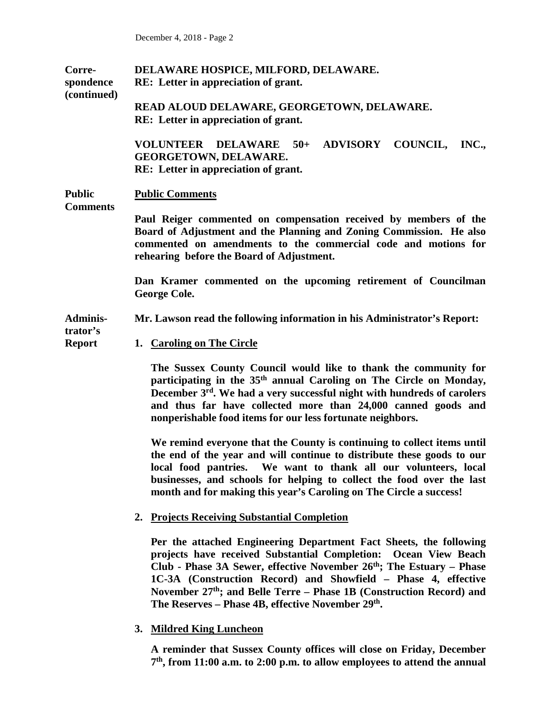| Corre-<br>spondence<br>(continued) | DELAWARE HOSPICE, MILFORD, DELAWARE.<br>RE: Letter in appreciation of grant.                                                                                                                                                                                                                                                                                                                                                  |  |  |  |  |
|------------------------------------|-------------------------------------------------------------------------------------------------------------------------------------------------------------------------------------------------------------------------------------------------------------------------------------------------------------------------------------------------------------------------------------------------------------------------------|--|--|--|--|
|                                    | READ ALOUD DELAWARE, GEORGETOWN, DELAWARE.<br>RE: Letter in appreciation of grant.                                                                                                                                                                                                                                                                                                                                            |  |  |  |  |
|                                    | VOLUNTEER DELAWARE 50+ ADVISORY COUNCIL,<br>INC.,<br><b>GEORGETOWN, DELAWARE.</b><br>RE: Letter in appreciation of grant.                                                                                                                                                                                                                                                                                                     |  |  |  |  |
| <b>Public</b><br><b>Comments</b>   | <b>Public Comments</b>                                                                                                                                                                                                                                                                                                                                                                                                        |  |  |  |  |
|                                    | Paul Reiger commented on compensation received by members of the<br>Board of Adjustment and the Planning and Zoning Commission. He also<br>commented on amendments to the commercial code and motions for<br>rehearing before the Board of Adjustment.                                                                                                                                                                        |  |  |  |  |
|                                    | Dan Kramer commented on the upcoming retirement of Councilman<br><b>George Cole.</b>                                                                                                                                                                                                                                                                                                                                          |  |  |  |  |
| <b>Adminis-</b><br>trator's        | Mr. Lawson read the following information in his Administrator's Report:                                                                                                                                                                                                                                                                                                                                                      |  |  |  |  |
| <b>Report</b>                      | 1. Caroling on The Circle                                                                                                                                                                                                                                                                                                                                                                                                     |  |  |  |  |
|                                    | The Sussex County Council would like to thank the community for<br>participating in the 35 <sup>th</sup> annual Caroling on The Circle on Monday,<br>December 3rd. We had a very successful night with hundreds of carolers<br>and thus far have collected more than 24,000 canned goods and<br>nonperishable food items for our less fortunate neighbors.                                                                    |  |  |  |  |
|                                    | We remind everyone that the County is continuing to collect items until<br>the end of the year and will continue to distribute these goods to our<br>local food pantries. We want to thank all our volunteers, local<br>businesses, and schools for helping to collect the food over the last<br>month and for making this year's Caroling on The Circle a success!                                                           |  |  |  |  |
|                                    | <b>Projects Receiving Substantial Completion</b><br>2.                                                                                                                                                                                                                                                                                                                                                                        |  |  |  |  |
|                                    | Per the attached Engineering Department Fact Sheets, the following<br>projects have received Substantial Completion: Ocean View Beach<br>Club - Phase 3A Sewer, effective November $26th$ ; The Estuary – Phase<br>1C-3A (Construction Record) and Showfield - Phase 4, effective<br>November $27th$ ; and Belle Terre – Phase 1B (Construction Record) and<br>The Reserves – Phase 4B, effective November 29 <sup>th</sup> . |  |  |  |  |
|                                    | 3. Mildred King Luncheon                                                                                                                                                                                                                                                                                                                                                                                                      |  |  |  |  |

**A reminder that Sussex County offices will close on Friday, December 7th, from 11:00 a.m. to 2:00 p.m. to allow employees to attend the annual**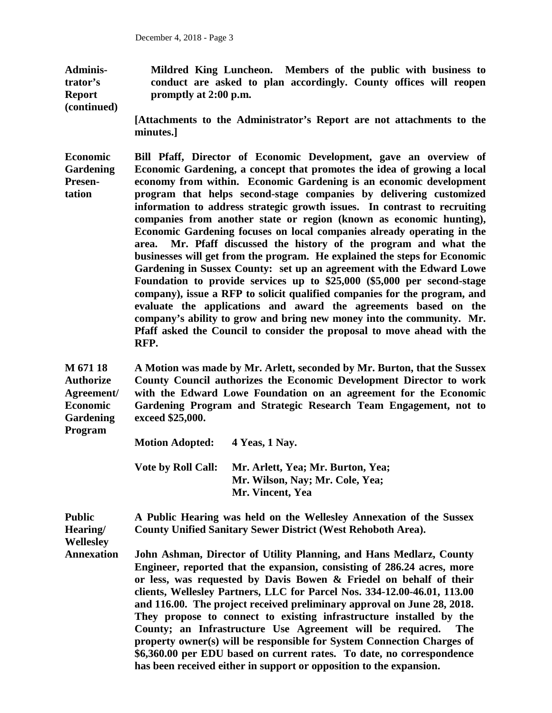**Administrator's Report (continued) Mildred King Luncheon. Members of the public with business to conduct are asked to plan accordingly. County offices will reopen promptly at 2:00 p.m.**

> **[Attachments to the Administrator's Report are not attachments to the minutes.]**

**Economic Gardening Presentation Bill Pfaff, Director of Economic Development, gave an overview of Economic Gardening, a concept that promotes the idea of growing a local economy from within. Economic Gardening is an economic development program that helps second-stage companies by delivering customized information to address strategic growth issues. In contrast to recruiting companies from another state or region (known as economic hunting), Economic Gardening focuses on local companies already operating in the area. Mr. Pfaff discussed the history of the program and what the businesses will get from the program. He explained the steps for Economic Gardening in Sussex County: set up an agreement with the Edward Lowe Foundation to provide services up to \$25,000 (\$5,000 per second-stage company), issue a RFP to solicit qualified companies for the program, and evaluate the applications and award the agreements based on the company's ability to grow and bring new money into the community. Mr. Pfaff asked the Council to consider the proposal to move ahead with the RFP.**

**M 671 18 Authorize Agreement/ Economic Gardening A Motion was made by Mr. Arlett, seconded by Mr. Burton, that the Sussex County Council authorizes the Economic Development Director to work with the Edward Lowe Foundation on an agreement for the Economic Gardening Program and Strategic Research Team Engagement, not to exceed \$25,000.** 

**Program**

**Motion Adopted: 4 Yeas, 1 Nay.** 

**Vote by Roll Call: Mr. Arlett, Yea; Mr. Burton, Yea; Mr. Wilson, Nay; Mr. Cole, Yea; Mr. Vincent, Yea**

**Public Hearing/ A Public Hearing was held on the Wellesley Annexation of the Sussex County Unified Sanitary Sewer District (West Rehoboth Area).** 

**Wellesley**

**Annexation John Ashman, Director of Utility Planning, and Hans Medlarz, County Engineer, reported that the expansion, consisting of 286.24 acres, more or less, was requested by Davis Bowen & Friedel on behalf of their clients, Wellesley Partners, LLC for Parcel Nos. 334-12.00-46.01, 113.00 and 116.00. The project received preliminary approval on June 28, 2018. They propose to connect to existing infrastructure installed by the County; an Infrastructure Use Agreement will be required. The property owner(s) will be responsible for System Connection Charges of \$6,360.00 per EDU based on current rates. To date, no correspondence has been received either in support or opposition to the expansion.**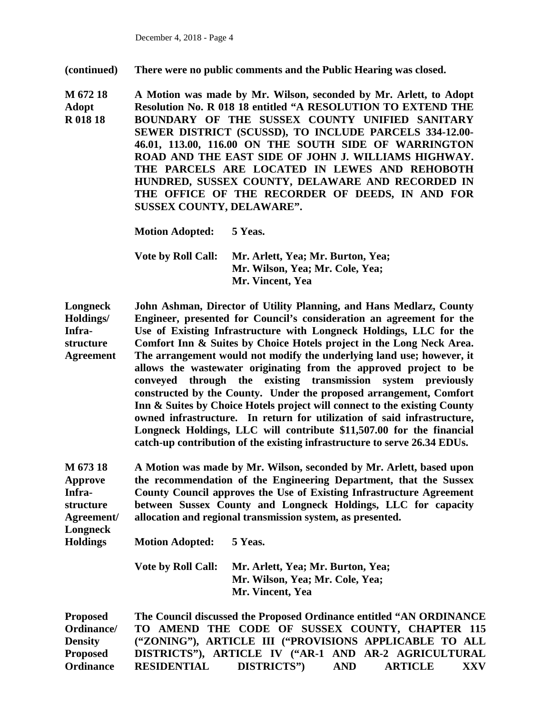**(continued) There were no public comments and the Public Hearing was closed.**

**M 672 18 Adopt R 018 18 A Motion was made by Mr. Wilson, seconded by Mr. Arlett, to Adopt Resolution No. R 018 18 entitled "A RESOLUTION TO EXTEND THE BOUNDARY OF THE SUSSEX COUNTY UNIFIED SANITARY SEWER DISTRICT (SCUSSD), TO INCLUDE PARCELS 334-12.00- 46.01, 113.00, 116.00 ON THE SOUTH SIDE OF WARRINGTON ROAD AND THE EAST SIDE OF JOHN J. WILLIAMS HIGHWAY. THE PARCELS ARE LOCATED IN LEWES AND REHOBOTH HUNDRED, SUSSEX COUNTY, DELAWARE AND RECORDED IN THE OFFICE OF THE RECORDER OF DEEDS, IN AND FOR SUSSEX COUNTY, DELAWARE".**

**Motion Adopted: 5 Yeas.** 

**Vote by Roll Call: Mr. Arlett, Yea; Mr. Burton, Yea; Mr. Wilson, Yea; Mr. Cole, Yea; Mr. Vincent, Yea**

**Longneck Holdings/ Infrastructure Agreement John Ashman, Director of Utility Planning, and Hans Medlarz, County Engineer, presented for Council's consideration an agreement for the Use of Existing Infrastructure with Longneck Holdings, LLC for the Comfort Inn & Suites by Choice Hotels project in the Long Neck Area. The arrangement would not modify the underlying land use; however, it allows the wastewater originating from the approved project to be conveyed through the existing transmission system previously constructed by the County. Under the proposed arrangement, Comfort Inn & Suites by Choice Hotels project will connect to the existing County owned infrastructure. In return for utilization of said infrastructure, Longneck Holdings, LLC will contribute \$11,507.00 for the financial catch-up contribution of the existing infrastructure to serve 26.34 EDUs.** 

**M 673 18 Approve Infrastructure Agreement/ Longneck A Motion was made by Mr. Wilson, seconded by Mr. Arlett, based upon the recommendation of the Engineering Department, that the Sussex County Council approves the Use of Existing Infrastructure Agreement between Sussex County and Longneck Holdings, LLC for capacity allocation and regional transmission system, as presented.** 

**Holdings Motion Adopted: 5 Yeas.** 

> **Vote by Roll Call: Mr. Arlett, Yea; Mr. Burton, Yea; Mr. Wilson, Yea; Mr. Cole, Yea; Mr. Vincent, Yea**

**Proposed Ordinance/ Density Proposed Ordinance The Council discussed the Proposed Ordinance entitled "AN ORDINANCE TO AMEND THE CODE OF SUSSEX COUNTY, CHAPTER 115 ("ZONING"), ARTICLE III ("PROVISIONS APPLICABLE TO ALL DISTRICTS"), ARTICLE IV ("AR-1 AND AR-2 AGRICULTURAL RESIDENTIAL DISTRICTS") AND ARTICLE XXV**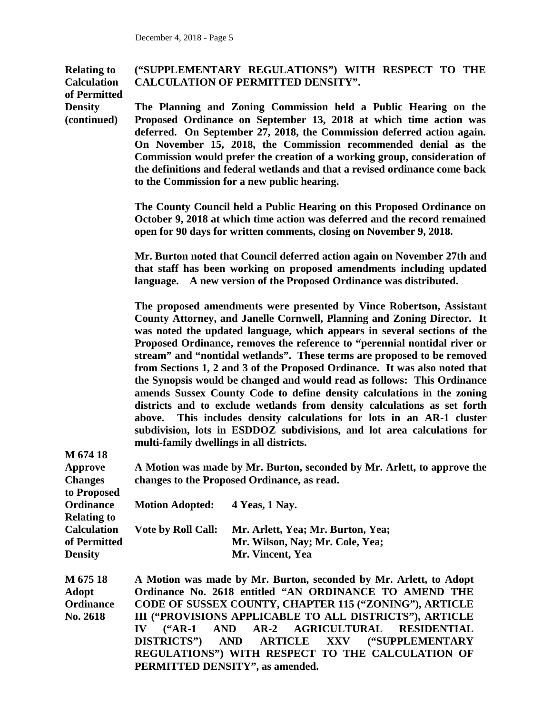| <b>Relating to</b><br><b>Calculation</b><br>of Permitted    | ("SUPPLEMENTARY REGULATIONS") WITH RESPECT TO THE<br><b>CALCULATION OF PERMITTED DENSITY".</b>                                                                                                                                                                                                                                                                                                                                                                                                                                                                                                                                                                                                                                                                                                                                                                                                        |  |  |
|-------------------------------------------------------------|-------------------------------------------------------------------------------------------------------------------------------------------------------------------------------------------------------------------------------------------------------------------------------------------------------------------------------------------------------------------------------------------------------------------------------------------------------------------------------------------------------------------------------------------------------------------------------------------------------------------------------------------------------------------------------------------------------------------------------------------------------------------------------------------------------------------------------------------------------------------------------------------------------|--|--|
| <b>Density</b><br>(continued)                               | The Planning and Zoning Commission held a Public Hearing on the<br>Proposed Ordinance on September 13, 2018 at which time action was<br>deferred. On September 27, 2018, the Commission deferred action again.<br>On November 15, 2018, the Commission recommended denial as the<br>Commission would prefer the creation of a working group, consideration of<br>the definitions and federal wetlands and that a revised ordinance come back<br>to the Commission for a new public hearing.                                                                                                                                                                                                                                                                                                                                                                                                           |  |  |
|                                                             | The County Council held a Public Hearing on this Proposed Ordinance on<br>October 9, 2018 at which time action was deferred and the record remained<br>open for 90 days for written comments, closing on November 9, 2018.                                                                                                                                                                                                                                                                                                                                                                                                                                                                                                                                                                                                                                                                            |  |  |
|                                                             | Mr. Burton noted that Council deferred action again on November 27th and<br>that staff has been working on proposed amendments including updated<br>language. A new version of the Proposed Ordinance was distributed.                                                                                                                                                                                                                                                                                                                                                                                                                                                                                                                                                                                                                                                                                |  |  |
|                                                             | The proposed amendments were presented by Vince Robertson, Assistant<br>County Attorney, and Janelle Cornwell, Planning and Zoning Director. It<br>was noted the updated language, which appears in several sections of the<br>Proposed Ordinance, removes the reference to "perennial nontidal river or<br>stream" and "nontidal wetlands". These terms are proposed to be removed<br>from Sections 1, 2 and 3 of the Proposed Ordinance. It was also noted that<br>the Synopsis would be changed and would read as follows: This Ordinance<br>amends Sussex County Code to define density calculations in the zoning<br>districts and to exclude wetlands from density calculations as set forth<br>This includes density calculations for lots in an AR-1 cluster<br>above.<br>subdivision, lots in ESDDOZ subdivisions, and lot area calculations for<br>multi-family dwellings in all districts. |  |  |
| M 674 18<br><b>Approve</b><br><b>Changes</b><br>to Proposed | A Motion was made by Mr. Burton, seconded by Mr. Arlett, to approve the<br>changes to the Proposed Ordinance, as read.                                                                                                                                                                                                                                                                                                                                                                                                                                                                                                                                                                                                                                                                                                                                                                                |  |  |
| <b>Ordinance</b><br><b>Relating to</b>                      | <b>Motion Adopted:</b><br>4 Yeas, 1 Nay.                                                                                                                                                                                                                                                                                                                                                                                                                                                                                                                                                                                                                                                                                                                                                                                                                                                              |  |  |
| <b>Calculation</b><br>of Permitted<br><b>Density</b>        | <b>Vote by Roll Call:</b><br>Mr. Arlett, Yea; Mr. Burton, Yea;<br>Mr. Wilson, Nay; Mr. Cole, Yea;<br>Mr. Vincent, Yea                                                                                                                                                                                                                                                                                                                                                                                                                                                                                                                                                                                                                                                                                                                                                                                 |  |  |
| M 675 18<br><b>Adopt</b><br><b>Ordinance</b><br>No. 2618    | A Motion was made by Mr. Burton, seconded by Mr. Arlett, to Adopt<br>Ordinance No. 2618 entitled "AN ORDINANCE TO AMEND THE<br>CODE OF SUSSEX COUNTY, CHAPTER 115 ("ZONING"), ARTICLE<br>III ("PROVISIONS APPLICABLE TO ALL DISTRICTS"), ARTICLE<br><b>AGRICULTURAL</b><br>$AR-2$<br>$(*AR-1"$<br><b>AND</b><br><b>RESIDENTIAL</b><br>$\mathbf{IV}$<br><b>DISTRICTS"</b> )<br><b>AND</b><br><b>ARTICLE</b><br>XXV ("SUPPLEMENTARY<br>REGULATIONS") WITH RESPECT TO THE CALCULATION OF                                                                                                                                                                                                                                                                                                                                                                                                                 |  |  |

**PERMITTED DENSITY", as amended.**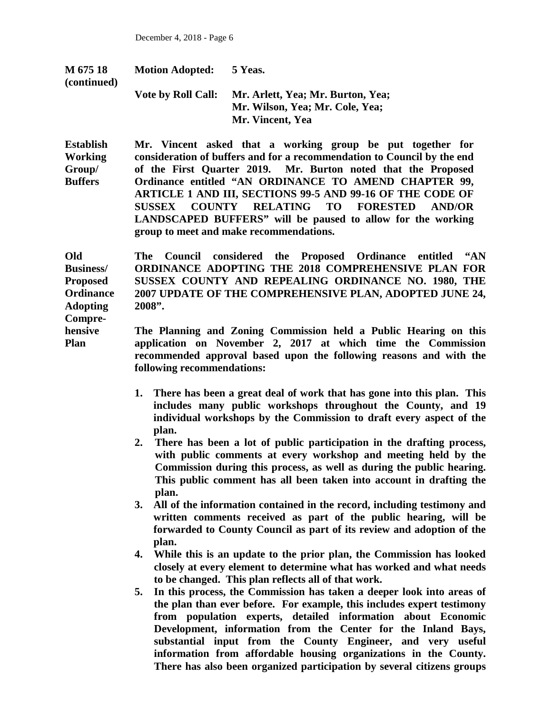| M 675 18<br>(continued) | <b>Motion Adopted:</b>    | 5 Yeas.                                                                                  |
|-------------------------|---------------------------|------------------------------------------------------------------------------------------|
|                         | <b>Vote by Roll Call:</b> | Mr. Arlett, Yea; Mr. Burton, Yea;<br>Mr. Wilson, Yea; Mr. Cole, Yea;<br>Mr. Vincent, Yea |
|                         |                           |                                                                                          |

**Establish Working Group/ Buffers Mr. Vincent asked that a working group be put together for consideration of buffers and for a recommendation to Council by the end of the First Quarter 2019. Mr. Burton noted that the Proposed Ordinance entitled "AN ORDINANCE TO AMEND CHAPTER 99, ARTICLE 1 AND III, SECTIONS 99-5 AND 99-16 OF THE CODE OF SUSSEX COUNTY RELATING TO FORESTED AND/OR LANDSCAPED BUFFERS" will be paused to allow for the working group to meet and make recommendations.**

**Old Business/ Proposed Ordinance Adopting Compre-The Council considered the Proposed Ordinance entitled "AN ORDINANCE ADOPTING THE 2018 COMPREHENSIVE PLAN FOR SUSSEX COUNTY AND REPEALING ORDINANCE NO. 1980, THE 2007 UPDATE OF THE COMPREHENSIVE PLAN, ADOPTED JUNE 24, 2008".** 

**hensive Plan The Planning and Zoning Commission held a Public Hearing on this application on November 2, 2017 at which time the Commission recommended approval based upon the following reasons and with the following recommendations:** 

- **1. There has been a great deal of work that has gone into this plan. This includes many public workshops throughout the County, and 19 individual workshops by the Commission to draft every aspect of the plan.**
- **2. There has been a lot of public participation in the drafting process, with public comments at every workshop and meeting held by the Commission during this process, as well as during the public hearing. This public comment has all been taken into account in drafting the plan.**

**3. All of the information contained in the record, including testimony and written comments received as part of the public hearing, will be forwarded to County Council as part of its review and adoption of the plan.**

**4. While this is an update to the prior plan, the Commission has looked closely at every element to determine what has worked and what needs to be changed. This plan reflects all of that work.** 

**5. In this process, the Commission has taken a deeper look into areas of the plan than ever before. For example, this includes expert testimony from population experts, detailed information about Economic Development, information from the Center for the Inland Bays, substantial input from the County Engineer, and very useful information from affordable housing organizations in the County. There has also been organized participation by several citizens groups**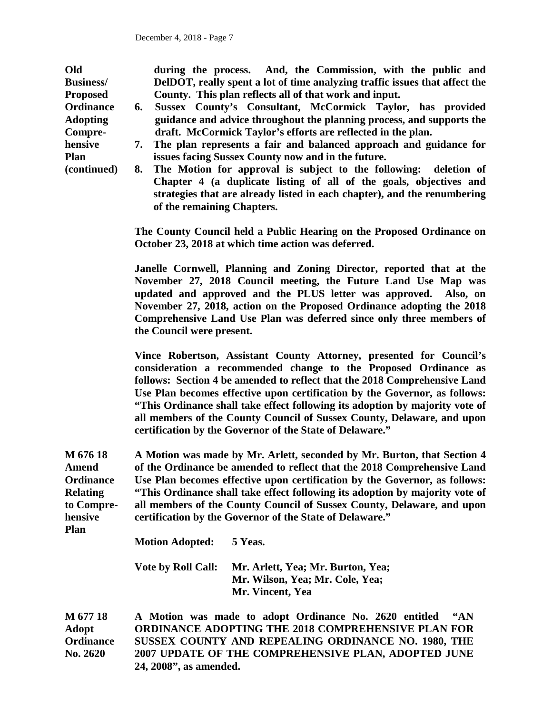**Old Business/ Proposed Ordinance Adopting Comprehensive Plan (continued) M 676 18 Amend Ordinance Relating to Comprehensive Plan M 677 18 during the process. And, the Commission, with the public and DelDOT, really spent a lot of time analyzing traffic issues that affect the County. This plan reflects all of that work and input. 6. Sussex County's Consultant, McCormick Taylor, has provided guidance and advice throughout the planning process, and supports the draft. McCormick Taylor's efforts are reflected in the plan. 7. The plan represents a fair and balanced approach and guidance for issues facing Sussex County now and in the future. 8. The Motion for approval is subject to the following: deletion of Chapter 4 (a duplicate listing of all of the goals, objectives and strategies that are already listed in each chapter), and the renumbering of the remaining Chapters. The County Council held a Public Hearing on the Proposed Ordinance on October 23, 2018 at which time action was deferred. Janelle Cornwell, Planning and Zoning Director, reported that at the November 27, 2018 Council meeting, the Future Land Use Map was updated and approved and the PLUS letter was approved. Also, on November 27, 2018, action on the Proposed Ordinance adopting the 2018 Comprehensive Land Use Plan was deferred since only three members of the Council were present. Vince Robertson, Assistant County Attorney, presented for Council's consideration a recommended change to the Proposed Ordinance as follows: Section 4 be amended to reflect that the 2018 Comprehensive Land Use Plan becomes effective upon certification by the Governor, as follows: "This Ordinance shall take effect following its adoption by majority vote of all members of the County Council of Sussex County, Delaware, and upon certification by the Governor of the State of Delaware." A Motion was made by Mr. Arlett, seconded by Mr. Burton, that Section 4 of the Ordinance be amended to reflect that the 2018 Comprehensive Land Use Plan becomes effective upon certification by the Governor, as follows: "This Ordinance shall take effect following its adoption by majority vote of all members of the County Council of Sussex County, Delaware, and upon certification by the Governor of the State of Delaware." Motion Adopted: 5 Yeas. Vote by Roll Call: Mr. Arlett, Yea; Mr. Burton, Yea; Mr. Wilson, Yea; Mr. Cole, Yea; Mr. Vincent, Yea A Motion was made to adopt Ordinance No. 2620 entitled "AN** 

**Adopt Ordinance No. 2620 ORDINANCE ADOPTING THE 2018 COMPREHENSIVE PLAN FOR SUSSEX COUNTY AND REPEALING ORDINANCE NO. 1980, THE 2007 UPDATE OF THE COMPREHENSIVE PLAN, ADOPTED JUNE 24, 2008", as amended.**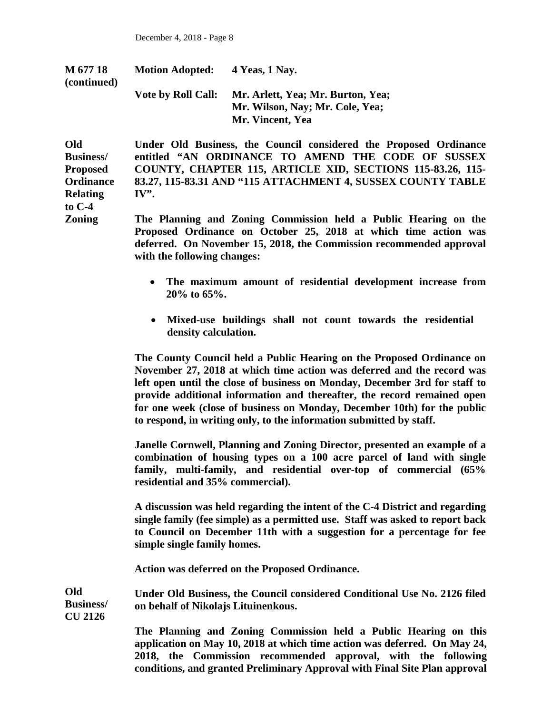**Zoning**

| M 677 18<br>(continued) | <b>Motion Adopted:</b>    | 4 Yeas, 1 Nay.                                                                           |
|-------------------------|---------------------------|------------------------------------------------------------------------------------------|
|                         | <b>Vote by Roll Call:</b> | Mr. Arlett, Yea; Mr. Burton, Yea;<br>Mr. Wilson, Nay; Mr. Cole, Yea;<br>Mr. Vincent, Yea |

**Old Business/ Proposed Ordinance Relating to C-4 Under Old Business, the Council considered the Proposed Ordinance entitled "AN ORDINANCE TO AMEND THE CODE OF SUSSEX COUNTY, CHAPTER 115, ARTICLE XID, SECTIONS 115-83.26, 115- 83.27, 115-83.31 AND "115 ATTACHMENT 4, SUSSEX COUNTY TABLE IV".** 

> **The Planning and Zoning Commission held a Public Hearing on the Proposed Ordinance on October 25, 2018 at which time action was deferred. On November 15, 2018, the Commission recommended approval with the following changes:**

- **The maximum amount of residential development increase from 20% to 65%.**
- **Mixed-use buildings shall not count towards the residential density calculation.**

**The County Council held a Public Hearing on the Proposed Ordinance on November 27, 2018 at which time action was deferred and the record was left open until the close of business on Monday, December 3rd for staff to provide additional information and thereafter, the record remained open for one week (close of business on Monday, December 10th) for the public to respond, in writing only, to the information submitted by staff.**

**Janelle Cornwell, Planning and Zoning Director, presented an example of a combination of housing types on a 100 acre parcel of land with single family, multi-family, and residential over-top of commercial (65% residential and 35% commercial).** 

**A discussion was held regarding the intent of the C-4 District and regarding single family (fee simple) as a permitted use. Staff was asked to report back to Council on December 11th with a suggestion for a percentage for fee simple single family homes.** 

**Action was deferred on the Proposed Ordinance.**

**Old Business/ CU 2126 Under Old Business, the Council considered Conditional Use No. 2126 filed on behalf of Nikolajs Lituinenkous.**

> **The Planning and Zoning Commission held a Public Hearing on this application on May 10, 2018 at which time action was deferred. On May 24, 2018, the Commission recommended approval, with the following conditions, and granted Preliminary Approval with Final Site Plan approval**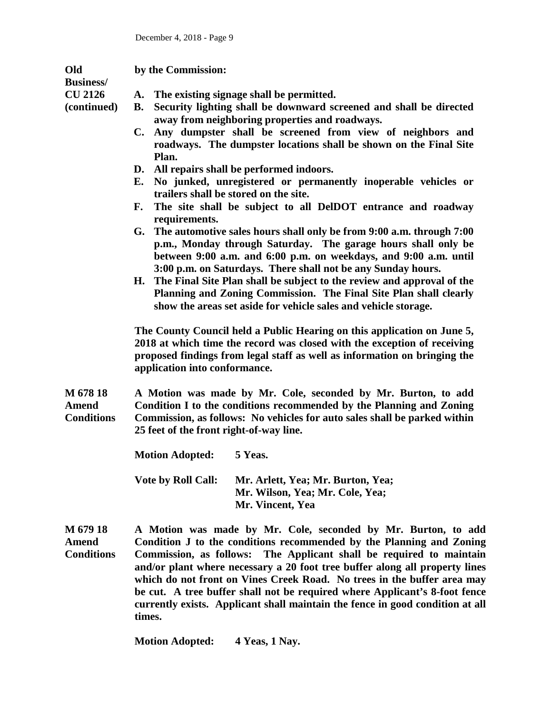| Old<br><b>Business/</b>                | by the Commission:                                                                                                                                                                                                                                                                                                                                                                                                                                                                                                                                                                                                                                                                                                                                                                                                                                                                                                                                                                                                                                                                                                                                                                                                                                                                                                              |  |  |
|----------------------------------------|---------------------------------------------------------------------------------------------------------------------------------------------------------------------------------------------------------------------------------------------------------------------------------------------------------------------------------------------------------------------------------------------------------------------------------------------------------------------------------------------------------------------------------------------------------------------------------------------------------------------------------------------------------------------------------------------------------------------------------------------------------------------------------------------------------------------------------------------------------------------------------------------------------------------------------------------------------------------------------------------------------------------------------------------------------------------------------------------------------------------------------------------------------------------------------------------------------------------------------------------------------------------------------------------------------------------------------|--|--|
| <b>CU 2126</b><br>(continued)          | A. The existing signage shall be permitted.<br>Security lighting shall be downward screened and shall be directed<br><b>B.</b><br>away from neighboring properties and roadways.<br>Any dumpster shall be screened from view of neighbors and<br>C.<br>roadways. The dumpster locations shall be shown on the Final Site<br>Plan.<br>D. All repairs shall be performed indoors.<br>No junked, unregistered or permanently inoperable vehicles or<br>Е.<br>trailers shall be stored on the site.<br>The site shall be subject to all DelDOT entrance and roadway<br>F.<br>requirements.<br>G. The automotive sales hours shall only be from 9:00 a.m. through 7:00<br>p.m., Monday through Saturday. The garage hours shall only be<br>between 9:00 a.m. and 6:00 p.m. on weekdays, and 9:00 a.m. until<br>3:00 p.m. on Saturdays. There shall not be any Sunday hours.<br>H. The Final Site Plan shall be subject to the review and approval of the<br>Planning and Zoning Commission. The Final Site Plan shall clearly<br>show the areas set aside for vehicle sales and vehicle storage.<br>The County Council held a Public Hearing on this application on June 5,<br>2018 at which time the record was closed with the exception of receiving<br>proposed findings from legal staff as well as information on bringing the |  |  |
| M 678 18                               | application into conformance.<br>A Motion was made by Mr. Cole, seconded by Mr. Burton, to add                                                                                                                                                                                                                                                                                                                                                                                                                                                                                                                                                                                                                                                                                                                                                                                                                                                                                                                                                                                                                                                                                                                                                                                                                                  |  |  |
| Amend<br><b>Conditions</b>             | Condition I to the conditions recommended by the Planning and Zoning<br>Commission, as follows: No vehicles for auto sales shall be parked within<br>25 feet of the front right-of-way line.                                                                                                                                                                                                                                                                                                                                                                                                                                                                                                                                                                                                                                                                                                                                                                                                                                                                                                                                                                                                                                                                                                                                    |  |  |
|                                        | <b>Motion Adopted:</b><br>5 Yeas.                                                                                                                                                                                                                                                                                                                                                                                                                                                                                                                                                                                                                                                                                                                                                                                                                                                                                                                                                                                                                                                                                                                                                                                                                                                                                               |  |  |
|                                        | <b>Vote by Roll Call:</b><br>Mr. Arlett, Yea; Mr. Burton, Yea;<br>Mr. Wilson, Yea; Mr. Cole, Yea;<br>Mr. Vincent, Yea                                                                                                                                                                                                                                                                                                                                                                                                                                                                                                                                                                                                                                                                                                                                                                                                                                                                                                                                                                                                                                                                                                                                                                                                           |  |  |
| M 679 18<br>Amend<br><b>Conditions</b> | A Motion was made by Mr. Cole, seconded by Mr. Burton, to add<br>Condition J to the conditions recommended by the Planning and Zoning<br>The Applicant shall be required to maintain<br>Commission, as follows:<br>and/or plant where necessary a 20 foot tree buffer along all property lines<br>which do not front on Vines Creek Road. No trees in the buffer area may<br>be cut. A tree buffer shall not be required where Applicant's 8-foot fence<br>currently exists. Applicant shall maintain the fence in good condition at all                                                                                                                                                                                                                                                                                                                                                                                                                                                                                                                                                                                                                                                                                                                                                                                        |  |  |

**Motion Adopted: 4 Yeas, 1 Nay.** 

**times.**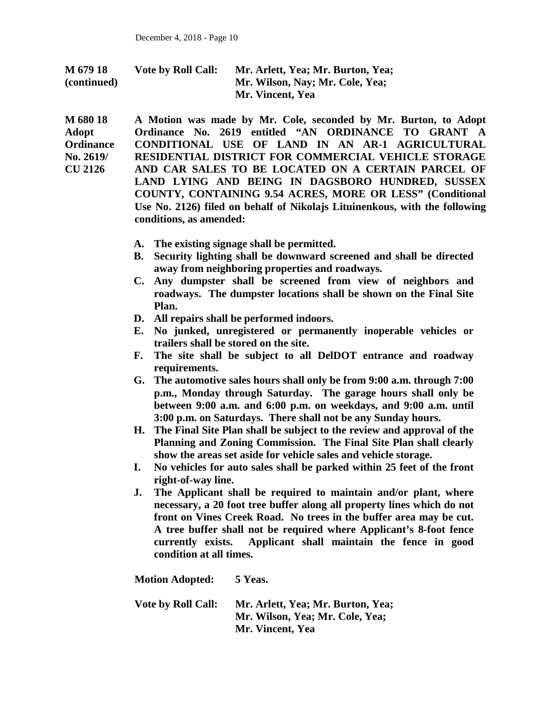| M 679 18    | <b>Vote by Roll Call:</b> | Mr. Arlett, Yea; Mr. Burton, Yea; |
|-------------|---------------------------|-----------------------------------|
| (continued) |                           | Mr. Wilson, Nay; Mr. Cole, Yea;   |
|             |                           | Mr. Vincent, Yea                  |

**M 680 18 Adopt Ordinance No. 2619/ CU 2126 A Motion was made by Mr. Cole, seconded by Mr. Burton, to Adopt Ordinance No. 2619 entitled "AN ORDINANCE TO GRANT A CONDITIONAL USE OF LAND IN AN AR-1 AGRICULTURAL RESIDENTIAL DISTRICT FOR COMMERCIAL VEHICLE STORAGE AND CAR SALES TO BE LOCATED ON A CERTAIN PARCEL OF LAND LYING AND BEING IN DAGSBORO HUNDRED, SUSSEX COUNTY, CONTAINING 9.54 ACRES, MORE OR LESS" (Conditional Use No. 2126) filed on behalf of Nikolajs Lituinenkous, with the following conditions, as amended:**

- **A. The existing signage shall be permitted.**
- **B. Security lighting shall be downward screened and shall be directed away from neighboring properties and roadways.**
- **C. Any dumpster shall be screened from view of neighbors and roadways. The dumpster locations shall be shown on the Final Site Plan.**
- **D. All repairs shall be performed indoors.**
- **E. No junked, unregistered or permanently inoperable vehicles or trailers shall be stored on the site.**
- **F. The site shall be subject to all DelDOT entrance and roadway requirements.**
- **G. The automotive sales hours shall only be from 9:00 a.m. through 7:00 p.m., Monday through Saturday. The garage hours shall only be between 9:00 a.m. and 6:00 p.m. on weekdays, and 9:00 a.m. until 3:00 p.m. on Saturdays. There shall not be any Sunday hours.**
- **H. The Final Site Plan shall be subject to the review and approval of the Planning and Zoning Commission. The Final Site Plan shall clearly show the areas set aside for vehicle sales and vehicle storage.**
- **I. No vehicles for auto sales shall be parked within 25 feet of the front right-of-way line.**
- **J. The Applicant shall be required to maintain and/or plant, where necessary, a 20 foot tree buffer along all property lines which do not front on Vines Creek Road. No trees in the buffer area may be cut. A tree buffer shall not be required where Applicant's 8-foot fence currently exists. Applicant shall maintain the fence in good condition at all times.**

**Motion Adopted: 5 Yeas. Vote by Roll Call: Mr. Arlett, Yea; Mr. Burton, Yea; Mr. Wilson, Yea; Mr. Cole, Yea; Mr. Vincent, Yea**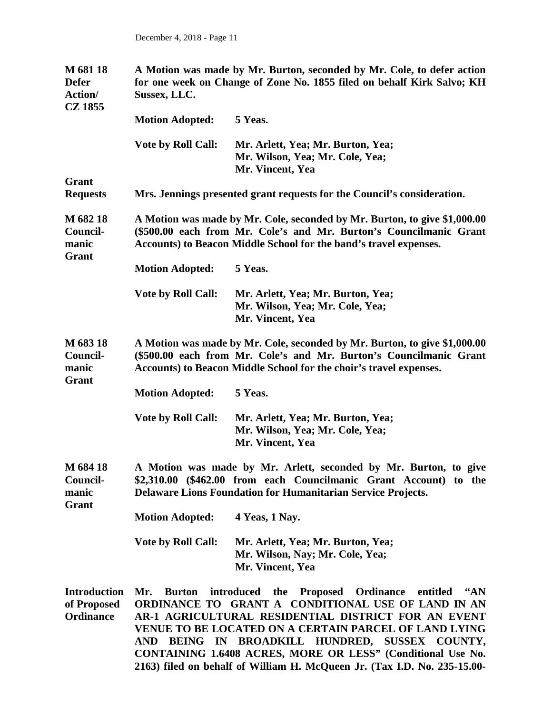| M 681 18<br><b>Defer</b><br>Action/<br><b>CZ 1855</b>  | A Motion was made by Mr. Burton, seconded by Mr. Cole, to defer action<br>for one week on Change of Zone No. 1855 filed on behalf Kirk Salvo; KH<br>Sussex, LLC.                                                                                                                                              |                                                                                                                                                                                                                      |  |
|--------------------------------------------------------|---------------------------------------------------------------------------------------------------------------------------------------------------------------------------------------------------------------------------------------------------------------------------------------------------------------|----------------------------------------------------------------------------------------------------------------------------------------------------------------------------------------------------------------------|--|
|                                                        | <b>Motion Adopted:</b>                                                                                                                                                                                                                                                                                        | 5 Yeas.                                                                                                                                                                                                              |  |
|                                                        | <b>Vote by Roll Call:</b>                                                                                                                                                                                                                                                                                     | Mr. Arlett, Yea; Mr. Burton, Yea;<br>Mr. Wilson, Yea; Mr. Cole, Yea;<br>Mr. Vincent, Yea                                                                                                                             |  |
| Grant                                                  |                                                                                                                                                                                                                                                                                                               |                                                                                                                                                                                                                      |  |
| <b>Requests</b>                                        | Mrs. Jennings presented grant requests for the Council's consideration.                                                                                                                                                                                                                                       |                                                                                                                                                                                                                      |  |
| M 682 18<br>Council-<br>manic<br>Grant                 |                                                                                                                                                                                                                                                                                                               | A Motion was made by Mr. Cole, seconded by Mr. Burton, to give \$1,000.00<br>(\$500.00 each from Mr. Cole's and Mr. Burton's Councilmanic Grant<br>Accounts) to Beacon Middle School for the band's travel expenses. |  |
|                                                        | <b>Motion Adopted:</b>                                                                                                                                                                                                                                                                                        | 5 Yeas.                                                                                                                                                                                                              |  |
|                                                        | <b>Vote by Roll Call:</b>                                                                                                                                                                                                                                                                                     | Mr. Arlett, Yea; Mr. Burton, Yea;<br>Mr. Wilson, Yea; Mr. Cole, Yea;<br>Mr. Vincent, Yea                                                                                                                             |  |
| M 683 18<br>Council-<br>manic                          | A Motion was made by Mr. Cole, seconded by Mr. Burton, to give \$1,000.00<br>(\$500.00 each from Mr. Cole's and Mr. Burton's Councilmanic Grant<br>Accounts) to Beacon Middle School for the choir's travel expenses.                                                                                         |                                                                                                                                                                                                                      |  |
| Grant                                                  | <b>Motion Adopted:</b>                                                                                                                                                                                                                                                                                        | 5 Yeas.                                                                                                                                                                                                              |  |
|                                                        | <b>Vote by Roll Call:</b>                                                                                                                                                                                                                                                                                     | Mr. Arlett, Yea; Mr. Burton, Yea;<br>Mr. Wilson, Yea; Mr. Cole, Yea;<br>Mr. Vincent, Yea                                                                                                                             |  |
| M 684 18<br>Council-<br>manic<br>Grant                 | A Motion was made by Mr. Arlett, seconded by Mr. Burton, to give<br>\$2,310.00 (\$462.00 from each Councilmanic Grant Account) to the<br>Delaware Lions Foundation for Humanitarian Service Projects.                                                                                                         |                                                                                                                                                                                                                      |  |
|                                                        | <b>Motion Adopted:</b>                                                                                                                                                                                                                                                                                        | 4 Yeas, 1 Nay.                                                                                                                                                                                                       |  |
|                                                        | <b>Vote by Roll Call:</b>                                                                                                                                                                                                                                                                                     | Mr. Arlett, Yea; Mr. Burton, Yea;<br>Mr. Wilson, Nay; Mr. Cole, Yea;<br>Mr. Vincent, Yea                                                                                                                             |  |
| <b>Introduction</b><br>of Proposed<br><b>Ordinance</b> | introduced<br><b>Burton</b><br>the Proposed<br>Ordinance<br>44N<br>Mr.<br>entitled<br>ORDINANCE TO GRANT A CONDITIONAL USE OF LAND IN AN<br>AR-1 AGRICULTURAL RESIDENTIAL DISTRICT FOR AN EVENT<br>VENUE TO BE LOCATED ON A CERTAIN PARCEL OF LAND LYING<br>BEING IN BROADKILL HUNDRED, SUSSEX COUNTY,<br>AND |                                                                                                                                                                                                                      |  |

**CONTAINING 1.6408 ACRES, MORE OR LESS" (Conditional Use No. 2163) filed on behalf of William H. McQueen Jr. (Tax I.D. No. 235-15.00-**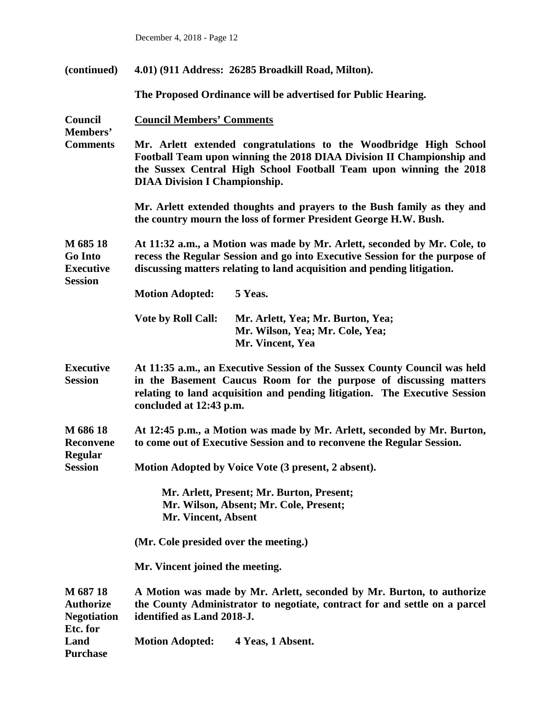**(continued) 4.01) (911 Address: 26285 Broadkill Road, Milton).** 

**The Proposed Ordinance will be advertised for Public Hearing.**

| Council<br>Members'                                              | <b>Council Members' Comments</b>                                                                                                                                                                                                                         |  |  |
|------------------------------------------------------------------|----------------------------------------------------------------------------------------------------------------------------------------------------------------------------------------------------------------------------------------------------------|--|--|
| <b>Comments</b>                                                  | Mr. Arlett extended congratulations to the Woodbridge High School<br>Football Team upon winning the 2018 DIAA Division II Championship and<br>the Sussex Central High School Football Team upon winning the 2018<br><b>DIAA Division I Championship.</b> |  |  |
|                                                                  | Mr. Arlett extended thoughts and prayers to the Bush family as they and<br>the country mourn the loss of former President George H.W. Bush.                                                                                                              |  |  |
| M 685 18<br><b>Go Into</b><br><b>Executive</b><br><b>Session</b> | At 11:32 a.m., a Motion was made by Mr. Arlett, seconded by Mr. Cole, to<br>recess the Regular Session and go into Executive Session for the purpose of<br>discussing matters relating to land acquisition and pending litigation.                       |  |  |
|                                                                  | 5 Yeas.<br><b>Motion Adopted:</b>                                                                                                                                                                                                                        |  |  |
|                                                                  | <b>Vote by Roll Call:</b><br>Mr. Arlett, Yea; Mr. Burton, Yea;<br>Mr. Wilson, Yea; Mr. Cole, Yea;<br>Mr. Vincent, Yea                                                                                                                                    |  |  |
| <b>Executive</b><br><b>Session</b>                               | At 11:35 a.m., an Executive Session of the Sussex County Council was held<br>in the Basement Caucus Room for the purpose of discussing matters<br>relating to land acquisition and pending litigation. The Executive Session<br>concluded at 12:43 p.m.  |  |  |
| M 686 18<br><b>Reconvene</b>                                     | At 12:45 p.m., a Motion was made by Mr. Arlett, seconded by Mr. Burton,<br>to come out of Executive Session and to reconvene the Regular Session.                                                                                                        |  |  |
| <b>Regular</b><br><b>Session</b>                                 | Motion Adopted by Voice Vote (3 present, 2 absent).                                                                                                                                                                                                      |  |  |
|                                                                  | Mr. Arlett, Present; Mr. Burton, Present;<br>Mr. Wilson, Absent; Mr. Cole, Present;<br><b>Mr. Vincent, Absent</b>                                                                                                                                        |  |  |
|                                                                  | (Mr. Cole presided over the meeting.)                                                                                                                                                                                                                    |  |  |
|                                                                  | Mr. Vincent joined the meeting.                                                                                                                                                                                                                          |  |  |
| M 687 18<br><b>Authorize</b><br><b>Negotiation</b><br>Etc. for   | A Motion was made by Mr. Arlett, seconded by Mr. Burton, to authorize<br>the County Administrator to negotiate, contract for and settle on a parcel<br>identified as Land 2018-J.                                                                        |  |  |
| Land<br><b>Purchase</b>                                          | <b>Motion Adopted:</b><br>4 Yeas, 1 Absent.                                                                                                                                                                                                              |  |  |